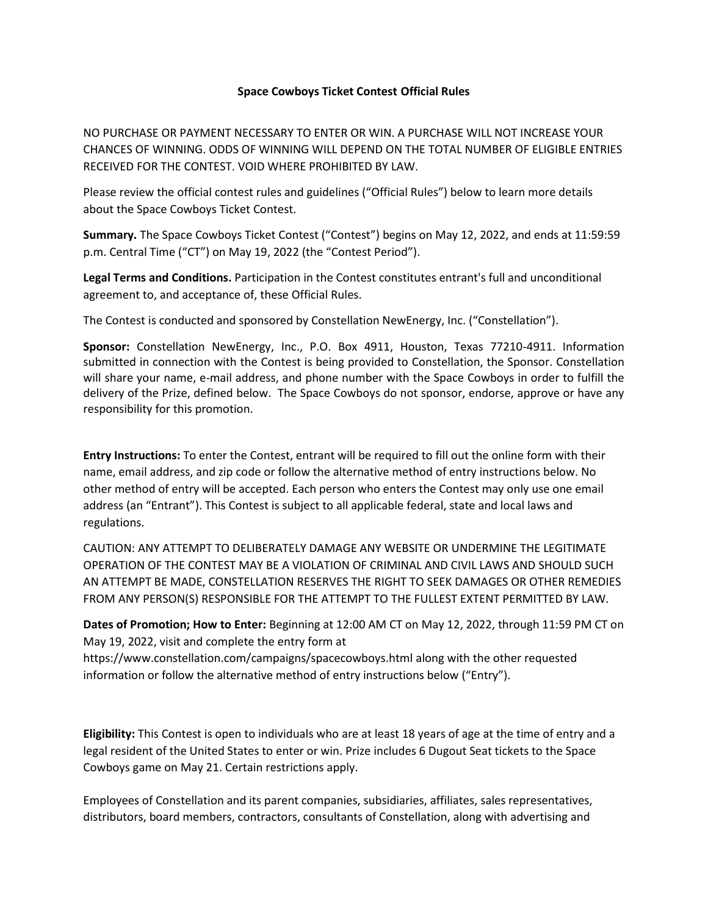## **Space Cowboys Ticket Contest Official Rules**

NO PURCHASE OR PAYMENT NECESSARY TO ENTER OR WIN. A PURCHASE WILL NOT INCREASE YOUR CHANCES OF WINNING. ODDS OF WINNING WILL DEPEND ON THE TOTAL NUMBER OF ELIGIBLE ENTRIES RECEIVED FOR THE CONTEST. VOID WHERE PROHIBITED BY LAW.

Please review the official contest rules and guidelines ("Official Rules") below to learn more details about the Space Cowboys Ticket Contest.

**Summary.** The Space Cowboys Ticket Contest ("Contest") begins on May 12, 2022, and ends at 11:59:59 p.m. Central Time ("CT") on May 19, 2022 (the "Contest Period").

**Legal Terms and Conditions.** Participation in the Contest constitutes entrant's full and unconditional agreement to, and acceptance of, these Official Rules.

The Contest is conducted and sponsored by Constellation NewEnergy, Inc. ("Constellation").

**Sponsor:** Constellation NewEnergy, Inc., P.O. Box 4911, Houston, Texas 77210-4911. Information submitted in connection with the Contest is being provided to Constellation, the Sponsor. Constellation will share your name, e-mail address, and phone number with the Space Cowboys in order to fulfill the delivery of the Prize, defined below. The Space Cowboys do not sponsor, endorse, approve or have any responsibility for this promotion.

**Entry Instructions:** To enter the Contest, entrant will be required to fill out the online form with their name, email address, and zip code or follow the alternative method of entry instructions below. No other method of entry will be accepted. Each person who enters the Contest may only use one email address (an "Entrant"). This Contest is subject to all applicable federal, state and local laws and regulations.

CAUTION: ANY ATTEMPT TO DELIBERATELY DAMAGE ANY WEBSITE OR UNDERMINE THE LEGITIMATE OPERATION OF THE CONTEST MAY BE A VIOLATION OF CRIMINAL AND CIVIL LAWS AND SHOULD SUCH AN ATTEMPT BE MADE, CONSTELLATION RESERVES THE RIGHT TO SEEK DAMAGES OR OTHER REMEDIES FROM ANY PERSON(S) RESPONSIBLE FOR THE ATTEMPT TO THE FULLEST EXTENT PERMITTED BY LAW.

**Dates of Promotion; How to Enter:** Beginning at 12:00 AM CT on May 12, 2022, through 11:59 PM CT on May 19, 2022, visit and complete the entry form at

https://www.constellation.com/campaigns/spacecowboys.html along with the other requested information or follow the alternative method of entry instructions below ("Entry").

**Eligibility:** This Contest is open to individuals who are at least 18 years of age at the time of entry and a legal resident of the United States to enter or win. Prize includes 6 Dugout Seat tickets to the Space Cowboys game on May 21. Certain restrictions apply.

Employees of Constellation and its parent companies, subsidiaries, affiliates, sales representatives, distributors, board members, contractors, consultants of Constellation, along with advertising and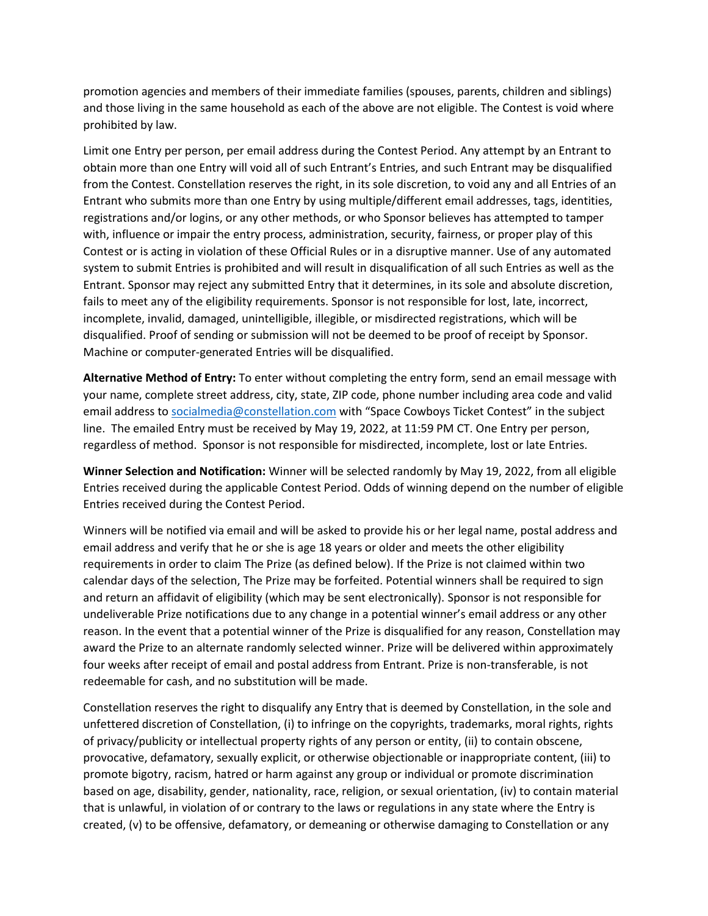promotion agencies and members of their immediate families (spouses, parents, children and siblings) and those living in the same household as each of the above are not eligible. The Contest is void where prohibited by law.

Limit one Entry per person, per email address during the Contest Period. Any attempt by an Entrant to obtain more than one Entry will void all of such Entrant's Entries, and such Entrant may be disqualified from the Contest. Constellation reserves the right, in its sole discretion, to void any and all Entries of an Entrant who submits more than one Entry by using multiple/different email addresses, tags, identities, registrations and/or logins, or any other methods, or who Sponsor believes has attempted to tamper with, influence or impair the entry process, administration, security, fairness, or proper play of this Contest or is acting in violation of these Official Rules or in a disruptive manner. Use of any automated system to submit Entries is prohibited and will result in disqualification of all such Entries as well as the Entrant. Sponsor may reject any submitted Entry that it determines, in its sole and absolute discretion, fails to meet any of the eligibility requirements. Sponsor is not responsible for lost, late, incorrect, incomplete, invalid, damaged, unintelligible, illegible, or misdirected registrations, which will be disqualified. Proof of sending or submission will not be deemed to be proof of receipt by Sponsor. Machine or computer-generated Entries will be disqualified.

**Alternative Method of Entry:** To enter without completing the entry form, send an email message with your name, complete street address, city, state, ZIP code, phone number including area code and valid email address to [socialmedia@constellation.com](mailto:socialmedia@constellation.com) with "Space Cowboys Ticket Contest" in the subject line. The emailed Entry must be received by May 19, 2022, at 11:59 PM CT. One Entry per person, regardless of method. Sponsor is not responsible for misdirected, incomplete, lost or late Entries.

**Winner Selection and Notification:** Winner will be selected randomly by May 19, 2022, from all eligible Entries received during the applicable Contest Period. Odds of winning depend on the number of eligible Entries received during the Contest Period.

Winners will be notified via email and will be asked to provide his or her legal name, postal address and email address and verify that he or she is age 18 years or older and meets the other eligibility requirements in order to claim The Prize (as defined below). If the Prize is not claimed within two calendar days of the selection, The Prize may be forfeited. Potential winners shall be required to sign and return an affidavit of eligibility (which may be sent electronically). Sponsor is not responsible for undeliverable Prize notifications due to any change in a potential winner's email address or any other reason. In the event that a potential winner of the Prize is disqualified for any reason, Constellation may award the Prize to an alternate randomly selected winner. Prize will be delivered within approximately four weeks after receipt of email and postal address from Entrant. Prize is non-transferable, is not redeemable for cash, and no substitution will be made.

Constellation reserves the right to disqualify any Entry that is deemed by Constellation, in the sole and unfettered discretion of Constellation, (i) to infringe on the copyrights, trademarks, moral rights, rights of privacy/publicity or intellectual property rights of any person or entity, (ii) to contain obscene, provocative, defamatory, sexually explicit, or otherwise objectionable or inappropriate content, (iii) to promote bigotry, racism, hatred or harm against any group or individual or promote discrimination based on age, disability, gender, nationality, race, religion, or sexual orientation, (iv) to contain material that is unlawful, in violation of or contrary to the laws or regulations in any state where the Entry is created, (v) to be offensive, defamatory, or demeaning or otherwise damaging to Constellation or any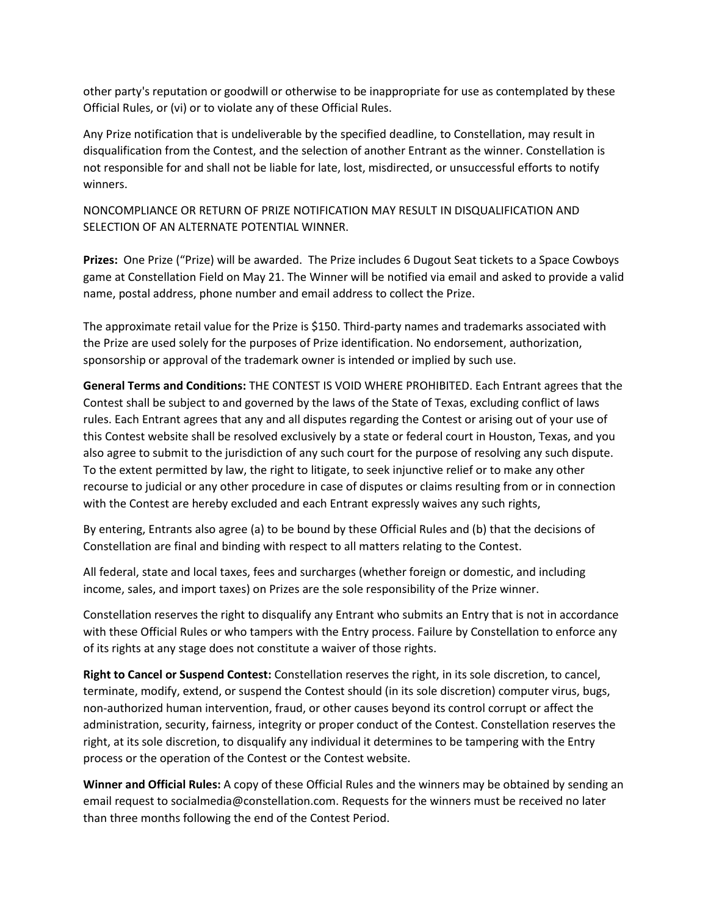other party's reputation or goodwill or otherwise to be inappropriate for use as contemplated by these Official Rules, or (vi) or to violate any of these Official Rules.

Any Prize notification that is undeliverable by the specified deadline, to Constellation, may result in disqualification from the Contest, and the selection of another Entrant as the winner. Constellation is not responsible for and shall not be liable for late, lost, misdirected, or unsuccessful efforts to notify winners.

NONCOMPLIANCE OR RETURN OF PRIZE NOTIFICATION MAY RESULT IN DISQUALIFICATION AND SELECTION OF AN ALTERNATE POTENTIAL WINNER.

**Prizes:** One Prize ("Prize) will be awarded. The Prize includes 6 Dugout Seat tickets to a Space Cowboys game at Constellation Field on May 21. The Winner will be notified via email and asked to provide a valid name, postal address, phone number and email address to collect the Prize.

The approximate retail value for the Prize is \$150. Third-party names and trademarks associated with the Prize are used solely for the purposes of Prize identification. No endorsement, authorization, sponsorship or approval of the trademark owner is intended or implied by such use.

**General Terms and Conditions:** THE CONTEST IS VOID WHERE PROHIBITED. Each Entrant agrees that the Contest shall be subject to and governed by the laws of the State of Texas, excluding conflict of laws rules. Each Entrant agrees that any and all disputes regarding the Contest or arising out of your use of this Contest website shall be resolved exclusively by a state or federal court in Houston, Texas, and you also agree to submit to the jurisdiction of any such court for the purpose of resolving any such dispute. To the extent permitted by law, the right to litigate, to seek injunctive relief or to make any other recourse to judicial or any other procedure in case of disputes or claims resulting from or in connection with the Contest are hereby excluded and each Entrant expressly waives any such rights,

By entering, Entrants also agree (a) to be bound by these Official Rules and (b) that the decisions of Constellation are final and binding with respect to all matters relating to the Contest.

All federal, state and local taxes, fees and surcharges (whether foreign or domestic, and including income, sales, and import taxes) on Prizes are the sole responsibility of the Prize winner.

Constellation reserves the right to disqualify any Entrant who submits an Entry that is not in accordance with these Official Rules or who tampers with the Entry process. Failure by Constellation to enforce any of its rights at any stage does not constitute a waiver of those rights.

**Right to Cancel or Suspend Contest:** Constellation reserves the right, in its sole discretion, to cancel, terminate, modify, extend, or suspend the Contest should (in its sole discretion) computer virus, bugs, non-authorized human intervention, fraud, or other causes beyond its control corrupt or affect the administration, security, fairness, integrity or proper conduct of the Contest. Constellation reserves the right, at its sole discretion, to disqualify any individual it determines to be tampering with the Entry process or the operation of the Contest or the Contest website.

**Winner and Official Rules:** A copy of these Official Rules and the winners may be obtained by sending an email request to socialmedia@constellation.com. Requests for the winners must be received no later than three months following the end of the Contest Period.